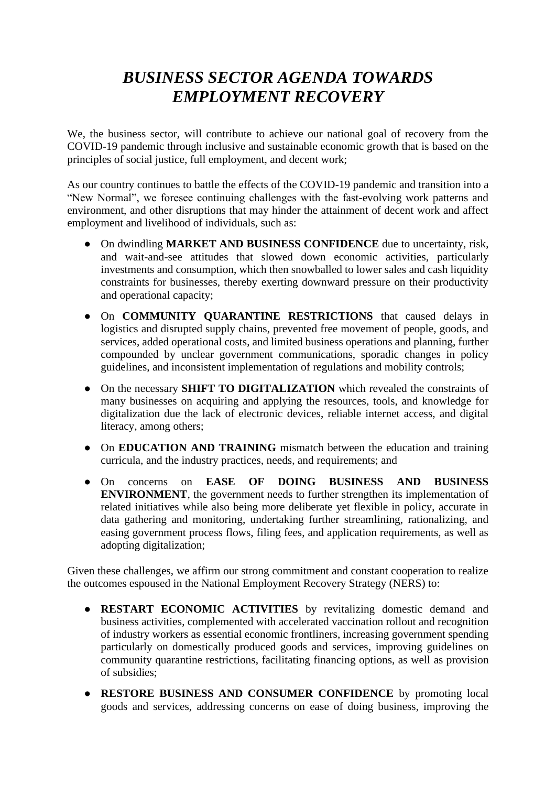# *BUSINESS SECTOR AGENDA TOWARDS EMPLOYMENT RECOVERY*

We, the business sector, will contribute to achieve our national goal of recovery from the COVID-19 pandemic through inclusive and sustainable economic growth that is based on the principles of social justice, full employment, and decent work;

As our country continues to battle the effects of the COVID-19 pandemic and transition into a "New Normal", we foresee continuing challenges with the fast-evolving work patterns and environment, and other disruptions that may hinder the attainment of decent work and affect employment and livelihood of individuals, such as:

- On dwindling **MARKET AND BUSINESS CONFIDENCE** due to uncertainty, risk, and wait-and-see attitudes that slowed down economic activities, particularly investments and consumption, which then snowballed to lower sales and cash liquidity constraints for businesses, thereby exerting downward pressure on their productivity and operational capacity;
- On **COMMUNITY QUARANTINE RESTRICTIONS** that caused delays in logistics and disrupted supply chains, prevented free movement of people, goods, and services, added operational costs, and limited business operations and planning, further compounded by unclear government communications, sporadic changes in policy guidelines, and inconsistent implementation of regulations and mobility controls;
- On the necessary **SHIFT TO DIGITALIZATION** which revealed the constraints of many businesses on acquiring and applying the resources, tools, and knowledge for digitalization due the lack of electronic devices, reliable internet access, and digital literacy, among others;
- On **EDUCATION AND TRAINING** mismatch between the education and training curricula, and the industry practices, needs, and requirements; and
- On concerns on **EASE OF DOING BUSINESS AND BUSINESS ENVIRONMENT**, the government needs to further strengthen its implementation of related initiatives while also being more deliberate yet flexible in policy, accurate in data gathering and monitoring, undertaking further streamlining, rationalizing, and easing government process flows, filing fees, and application requirements, as well as adopting digitalization;

Given these challenges, we affirm our strong commitment and constant cooperation to realize the outcomes espoused in the National Employment Recovery Strategy (NERS) to:

- **RESTART ECONOMIC ACTIVITIES** by revitalizing domestic demand and business activities, complemented with accelerated vaccination rollout and recognition of industry workers as essential economic frontliners, increasing government spending particularly on domestically produced goods and services, improving guidelines on community quarantine restrictions, facilitating financing options, as well as provision of subsidies;
- **RESTORE BUSINESS AND CONSUMER CONFIDENCE** by promoting local goods and services, addressing concerns on ease of doing business, improving the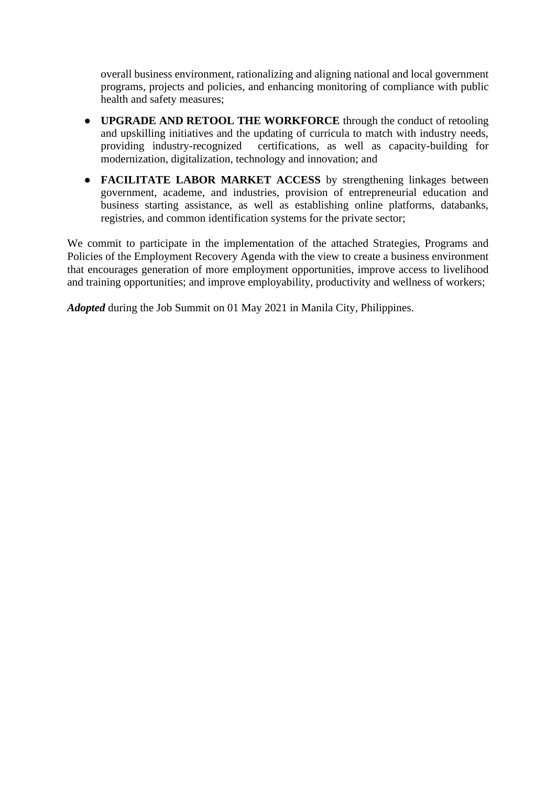overall business environment, rationalizing and aligning national and local government programs, projects and policies, and enhancing monitoring of compliance with public health and safety measures;

- **UPGRADE AND RETOOL THE WORKFORCE** through the conduct of retooling and upskilling initiatives and the updating of curricula to match with industry needs, providing industry-recognized certifications, as well as capacity-building for modernization, digitalization, technology and innovation; and
- **FACILITATE LABOR MARKET ACCESS** by strengthening linkages between government, academe, and industries, provision of entrepreneurial education and business starting assistance, as well as establishing online platforms, databanks, registries, and common identification systems for the private sector;

We commit to participate in the implementation of the attached Strategies, Programs and Policies of the Employment Recovery Agenda with the view to create a business environment that encourages generation of more employment opportunities, improve access to livelihood and training opportunities; and improve employability, productivity and wellness of workers;

*Adopted* during the Job Summit on 01 May 2021 in Manila City, Philippines.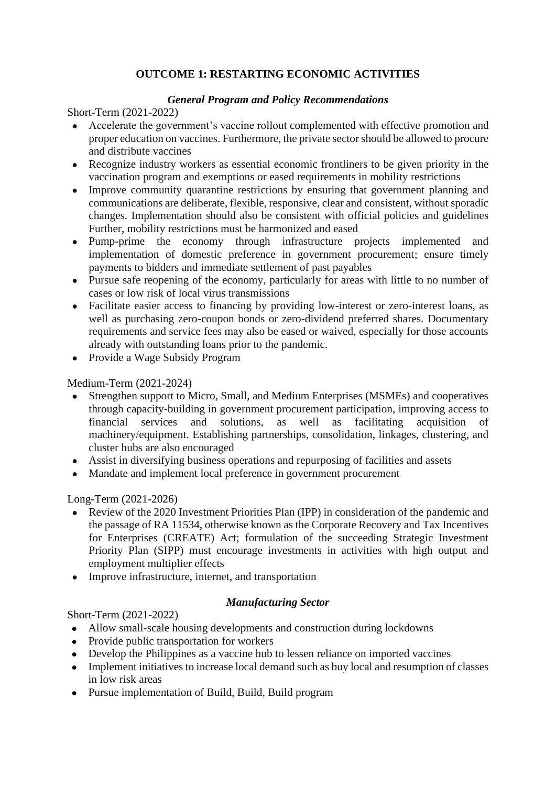# **OUTCOME 1: RESTARTING ECONOMIC ACTIVITIES**

# *General Program and Policy Recommendations*

Short-Term (2021-2022)

- Accelerate the government's vaccine rollout complemented with effective promotion and proper education on vaccines. Furthermore, the private sector should be allowed to procure and distribute vaccines
- Recognize industry workers as essential economic frontliners to be given priority in the vaccination program and exemptions or eased requirements in mobility restrictions
- Improve community quarantine restrictions by ensuring that government planning and communications are deliberate, flexible, responsive, clear and consistent, without sporadic changes. Implementation should also be consistent with official policies and guidelines Further, mobility restrictions must be harmonized and eased
- Pump-prime the economy through infrastructure projects implemented and implementation of domestic preference in government procurement; ensure timely payments to bidders and immediate settlement of past payables
- Pursue safe reopening of the economy, particularly for areas with little to no number of cases or low risk of local virus transmissions
- Facilitate easier access to financing by providing low-interest or zero-interest loans, as well as purchasing zero-coupon bonds or zero-dividend preferred shares. Documentary requirements and service fees may also be eased or waived, especially for those accounts already with outstanding loans prior to the pandemic.
- Provide a Wage Subsidy Program

Medium-Term (2021-2024)

- Strengthen support to Micro, Small, and Medium Enterprises (MSMEs) and cooperatives through capacity-building in government procurement participation, improving access to financial services and solutions, as well as facilitating acquisition of machinery/equipment. Establishing partnerships, consolidation, linkages, clustering, and cluster hubs are also encouraged
- Assist in diversifying business operations and repurposing of facilities and assets
- Mandate and implement local preference in government procurement

Long-Term (2021-2026)

- Review of the 2020 Investment Priorities Plan (IPP) in consideration of the pandemic and the passage of RA 11534, otherwise known as the Corporate Recovery and Tax Incentives for Enterprises (CREATE) Act; formulation of the succeeding Strategic Investment Priority Plan (SIPP) must encourage investments in activities with high output and employment multiplier effects
- Improve infrastructure, internet, and transportation

# *Manufacturing Sector*

- Allow small-scale housing developments and construction during lockdowns
- Provide public transportation for workers
- Develop the Philippines as a vaccine hub to lessen reliance on imported vaccines
- Implement initiatives to increase local demand such as buy local and resumption of classes in low risk areas
- Pursue implementation of Build, Build, Build program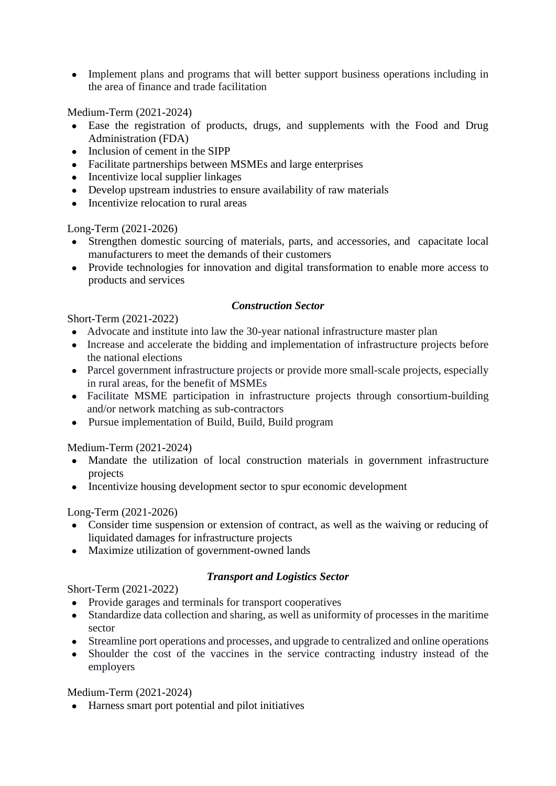• Implement plans and programs that will better support business operations including in the area of finance and trade facilitation

Medium-Term (2021-2024)

- Ease the registration of products, drugs, and supplements with the Food and Drug Administration (FDA)
- Inclusion of cement in the SIPP
- Facilitate partnerships between MSMEs and large enterprises
- Incentivize local supplier linkages
- Develop upstream industries to ensure availability of raw materials
- Incentivize relocation to rural areas

Long-Term (2021-2026)

- Strengthen domestic sourcing of materials, parts, and accessories, and capacitate local manufacturers to meet the demands of their customers
- Provide technologies for innovation and digital transformation to enable more access to products and services

# *Construction Sector*

Short-Term (2021-2022)

- Advocate and institute into law the 30-year national infrastructure master plan
- Increase and accelerate the bidding and implementation of infrastructure projects before the national elections
- Parcel government infrastructure projects or provide more small-scale projects, especially in rural areas, for the benefit of MSMEs
- Facilitate MSME participation in infrastructure projects through consortium-building and/or network matching as sub-contractors
- Pursue implementation of Build, Build, Build program

Medium-Term (2021-2024)

- Mandate the utilization of local construction materials in government infrastructure projects
- Incentivize housing development sector to spur economic development

Long-Term (2021-2026)

- Consider time suspension or extension of contract, as well as the waiving or reducing of liquidated damages for infrastructure projects
- Maximize utilization of government-owned lands

# *Transport and Logistics Sector*

Short-Term (2021-2022)

- Provide garages and terminals for transport cooperatives
- Standardize data collection and sharing, as well as uniformity of processes in the maritime sector
- Streamline port operations and processes, and upgrade to centralized and online operations
- Shoulder the cost of the vaccines in the service contracting industry instead of the employers

Medium-Term (2021-2024)

● Harness smart port potential and pilot initiatives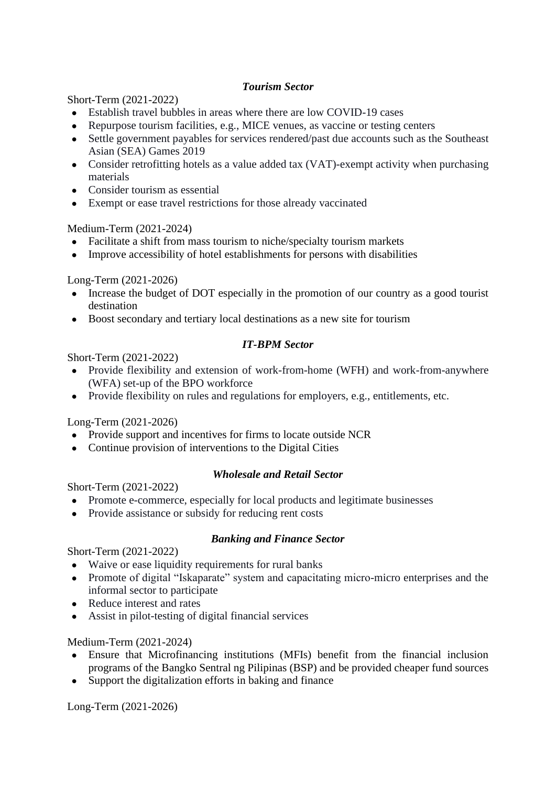# *Tourism Sector*

Short-Term (2021-2022)

- Establish travel bubbles in areas where there are low COVID-19 cases
- Repurpose tourism facilities, e.g., MICE venues, as vaccine or testing centers
- Settle government payables for services rendered/past due accounts such as the Southeast Asian (SEA) Games 2019
- Consider retrofitting hotels as a value added tax (VAT)-exempt activity when purchasing materials
- Consider tourism as essential
- Exempt or ease travel restrictions for those already vaccinated

# Medium-Term (2021-2024)

- Facilitate a shift from mass tourism to niche/specialty tourism markets
- Improve accessibility of hotel establishments for persons with disabilities

Long-Term (2021-2026)

- Increase the budget of DOT especially in the promotion of our country as a good tourist destination
- Boost secondary and tertiary local destinations as a new site for tourism

# *IT-BPM Sector*

Short-Term (2021-2022)

- Provide flexibility and extension of work-from-home (WFH) and work-from-anywhere (WFA) set-up of the BPO workforce
- Provide flexibility on rules and regulations for employers, e.g., entitlements, etc.

Long-Term (2021-2026)

- Provide support and incentives for firms to locate outside NCR
- Continue provision of interventions to the Digital Cities

# *Wholesale and Retail Sector*

Short-Term (2021-2022)

- Promote e-commerce, especially for local products and legitimate businesses
- Provide assistance or subsidy for reducing rent costs

# *Banking and Finance Sector*

Short-Term (2021-2022)

- Waive or ease liquidity requirements for rural banks
- Promote of digital "Iskaparate" system and capacitating micro-micro enterprises and the informal sector to participate
- Reduce interest and rates
- Assist in pilot-testing of digital financial services

Medium-Term (2021-2024)

- Ensure that Microfinancing institutions (MFIs) benefit from the financial inclusion programs of the Bangko Sentral ng Pilipinas (BSP) and be provided cheaper fund sources
- Support the digitalization efforts in baking and finance

Long-Term (2021-2026)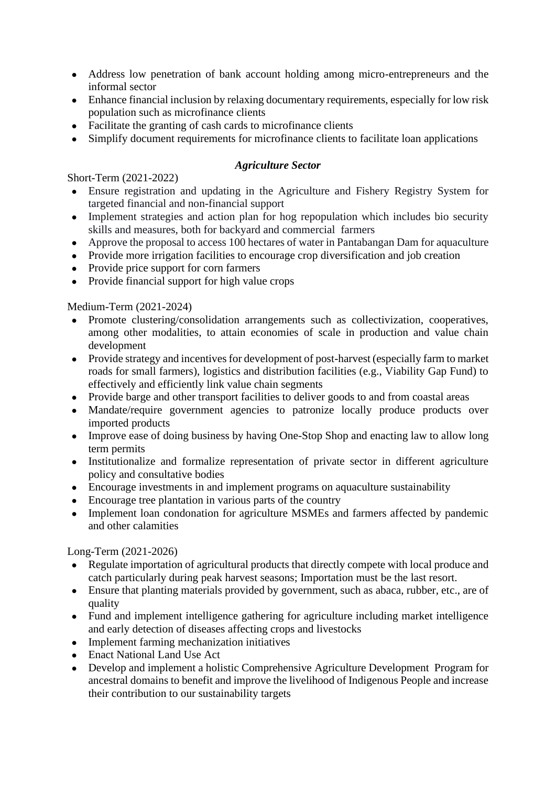- Address low penetration of bank account holding among micro-entrepreneurs and the informal sector
- Enhance financial inclusion by relaxing documentary requirements, especially for low risk population such as microfinance clients
- Facilitate the granting of cash cards to microfinance clients
- Simplify document requirements for microfinance clients to facilitate loan applications

# *Agriculture Sector*

Short-Term (2021-2022)

- Ensure registration and updating in the Agriculture and Fishery Registry System for targeted financial and non-financial support
- Implement strategies and action plan for hog repopulation which includes bio security skills and measures, both for backyard and commercial farmers
- Approve the proposal to access 100 hectares of water in Pantabangan Dam for aquaculture
- Provide more irrigation facilities to encourage crop diversification and job creation
- Provide price support for corn farmers
- Provide financial support for high value crops

Medium-Term (2021-2024)

- Promote clustering/consolidation arrangements such as collectivization, cooperatives, among other modalities, to attain economies of scale in production and value chain development
- Provide strategy and incentives for development of post-harvest (especially farm to market roads for small farmers), logistics and distribution facilities (e.g., Viability Gap Fund) to effectively and efficiently link value chain segments
- Provide barge and other transport facilities to deliver goods to and from coastal areas
- Mandate/require government agencies to patronize locally produce products over imported products
- Improve ease of doing business by having One-Stop Shop and enacting law to allow long term permits
- Institutionalize and formalize representation of private sector in different agriculture policy and consultative bodies
- Encourage investments in and implement programs on aquaculture sustainability
- Encourage tree plantation in various parts of the country
- Implement loan condonation for agriculture MSMEs and farmers affected by pandemic and other calamities

Long-Term (2021-2026)

- Regulate importation of agricultural products that directly compete with local produce and catch particularly during peak harvest seasons; Importation must be the last resort.
- Ensure that planting materials provided by government, such as abaca, rubber, etc., are of quality
- Fund and implement intelligence gathering for agriculture including market intelligence and early detection of diseases affecting crops and livestocks
- Implement farming mechanization initiatives
- Enact National Land Use Act
- Develop and implement a holistic Comprehensive Agriculture Development Program for ancestral domains to benefit and improve the livelihood of Indigenous People and increase their contribution to our sustainability targets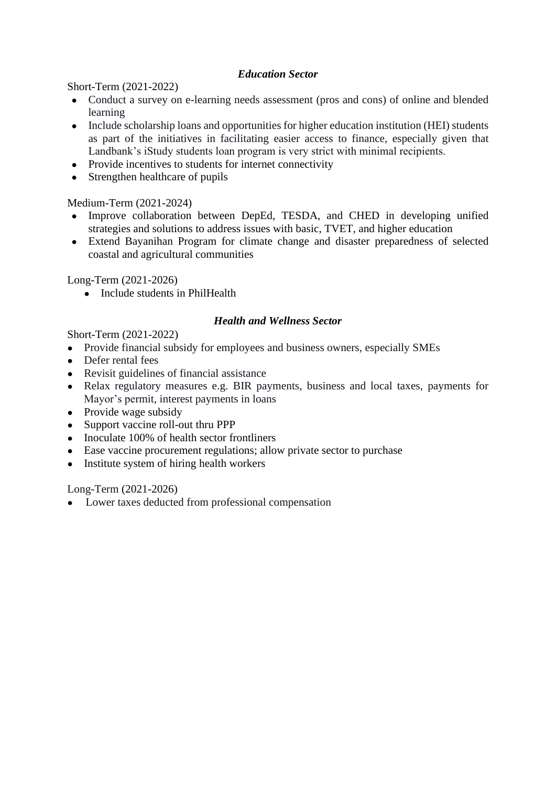# *Education Sector*

Short-Term (2021-2022)

- Conduct a survey on e-learning needs assessment (pros and cons) of online and blended learning
- Include scholarship loans and opportunities for higher education institution (HEI) students as part of the initiatives in facilitating easier access to finance, especially given that Landbank's iStudy students loan program is very strict with minimal recipients.
- Provide incentives to students for internet connectivity
- Strengthen healthcare of pupils

Medium-Term (2021-2024)

- Improve collaboration between DepEd, TESDA, and CHED in developing unified strategies and solutions to address issues with basic, TVET, and higher education
- Extend Bayanihan Program for climate change and disaster preparedness of selected coastal and agricultural communities

Long-Term (2021-2026)

• Include students in PhilHealth

#### *Health and Wellness Sector*

Short-Term (2021-2022)

- Provide financial subsidy for employees and business owners, especially SMEs
- Defer rental fees
- Revisit guidelines of financial assistance
- Relax regulatory measures e.g. BIR payments, business and local taxes, payments for Mayor's permit, interest payments in loans
- Provide wage subsidy
- Support vaccine roll-out thru PPP
- Inoculate 100% of health sector frontliners
- Ease vaccine procurement regulations; allow private sector to purchase
- Institute system of hiring health workers

Long-Term (2021-2026)

● Lower taxes deducted from professional compensation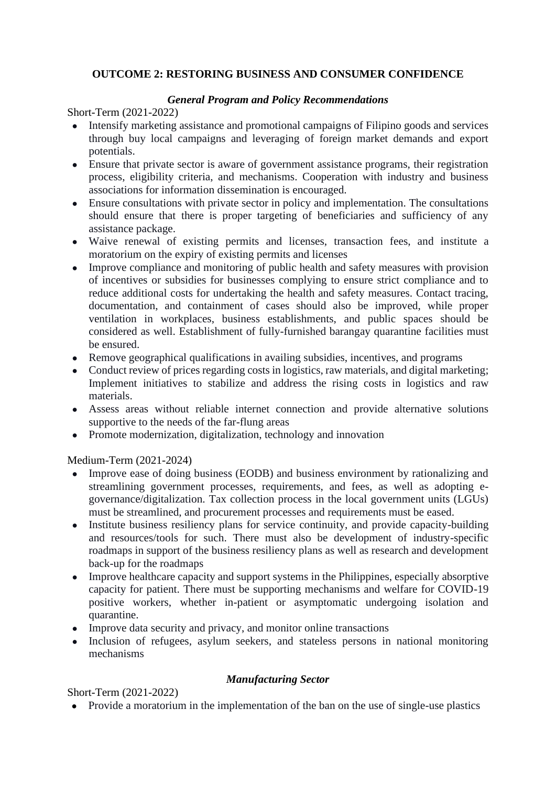# **OUTCOME 2: RESTORING BUSINESS AND CONSUMER CONFIDENCE**

## *General Program and Policy Recommendations*

Short-Term (2021-2022)

- Intensify marketing assistance and promotional campaigns of Filipino goods and services through buy local campaigns and leveraging of foreign market demands and export potentials.
- Ensure that private sector is aware of government assistance programs, their registration process, eligibility criteria, and mechanisms. Cooperation with industry and business associations for information dissemination is encouraged.
- Ensure consultations with private sector in policy and implementation. The consultations should ensure that there is proper targeting of beneficiaries and sufficiency of any assistance package.
- Waive renewal of existing permits and licenses, transaction fees, and institute a moratorium on the expiry of existing permits and licenses
- Improve compliance and monitoring of public health and safety measures with provision of incentives or subsidies for businesses complying to ensure strict compliance and to reduce additional costs for undertaking the health and safety measures. Contact tracing, documentation, and containment of cases should also be improved, while proper ventilation in workplaces, business establishments, and public spaces should be considered as well. Establishment of fully-furnished barangay quarantine facilities must be ensured.
- Remove geographical qualifications in availing subsidies, incentives, and programs
- Conduct review of prices regarding costs in logistics, raw materials, and digital marketing; Implement initiatives to stabilize and address the rising costs in logistics and raw materials.
- Assess areas without reliable internet connection and provide alternative solutions supportive to the needs of the far-flung areas
- Promote modernization, digitalization, technology and innovation

Medium-Term (2021-2024)

- Improve ease of doing business (EODB) and business environment by rationalizing and streamlining government processes, requirements, and fees, as well as adopting egovernance/digitalization. Tax collection process in the local government units (LGUs) must be streamlined, and procurement processes and requirements must be eased.
- Institute business resiliency plans for service continuity, and provide capacity-building and resources/tools for such. There must also be development of industry-specific roadmaps in support of the business resiliency plans as well as research and development back-up for the roadmaps
- Improve healthcare capacity and support systems in the Philippines, especially absorptive capacity for patient. There must be supporting mechanisms and welfare for COVID-19 positive workers, whether in-patient or asymptomatic undergoing isolation and quarantine.
- Improve data security and privacy, and monitor online transactions
- Inclusion of refugees, asylum seekers, and stateless persons in national monitoring mechanisms

# *Manufacturing Sector*

Short-Term (2021-2022)

● Provide a moratorium in the implementation of the ban on the use of single-use plastics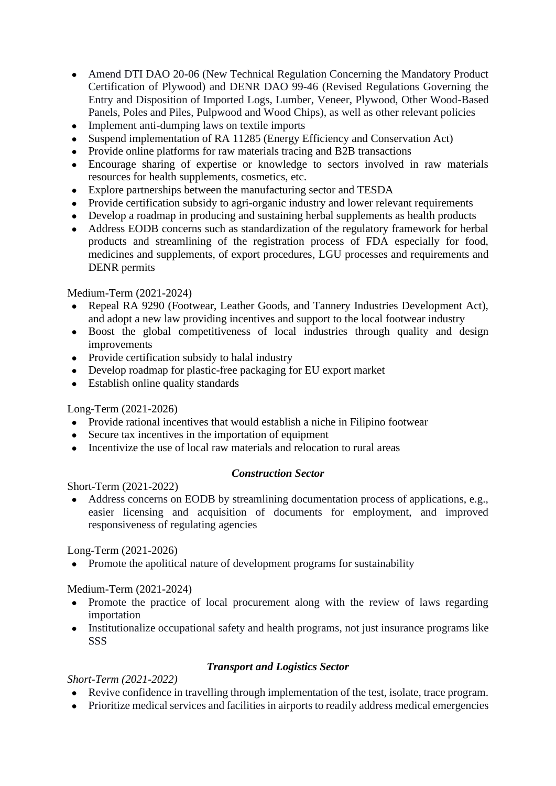- Amend DTI DAO 20-06 (New Technical Regulation Concerning the Mandatory Product Certification of Plywood) and DENR DAO 99-46 (Revised Regulations Governing the Entry and Disposition of Imported Logs, Lumber, Veneer, Plywood, Other Wood-Based Panels, Poles and Piles, Pulpwood and Wood Chips), as well as other relevant policies
- Implement anti-dumping laws on textile imports
- Suspend implementation of RA 11285 (Energy Efficiency and Conservation Act)
- Provide online platforms for raw materials tracing and B2B transactions
- Encourage sharing of expertise or knowledge to sectors involved in raw materials resources for health supplements, cosmetics, etc.
- Explore partnerships between the manufacturing sector and TESDA
- Provide certification subsidy to agri-organic industry and lower relevant requirements
- Develop a roadmap in producing and sustaining herbal supplements as health products
- Address EODB concerns such as standardization of the regulatory framework for herbal products and streamlining of the registration process of FDA especially for food, medicines and supplements, of export procedures, LGU processes and requirements and DENR permits

- Repeal RA 9290 (Footwear, Leather Goods, and Tannery Industries Development Act), and adopt a new law providing incentives and support to the local footwear industry
- Boost the global competitiveness of local industries through quality and design improvements
- Provide certification subsidy to halal industry
- Develop roadmap for plastic-free packaging for EU export market
- Establish online quality standards

# Long-Term (2021-2026)

- Provide rational incentives that would establish a niche in Filipino footwear
- Secure tax incentives in the importation of equipment
- $\bullet$  Incentivize the use of local raw materials and relocation to rural areas

# *Construction Sector*

Short-Term (2021-2022)

• Address concerns on EODB by streamlining documentation process of applications, e.g., easier licensing and acquisition of documents for employment, and improved responsiveness of regulating agencies

# Long-Term (2021-2026)

• Promote the apolitical nature of development programs for sustainability

# Medium-Term (2021-2024)

- Promote the practice of local procurement along with the review of laws regarding importation
- Institutionalize occupational safety and health programs, not just insurance programs like SSS

# *Transport and Logistics Sector*

- Revive confidence in travelling through implementation of the test, isolate, trace program.
- Prioritize medical services and facilities in airports to readily address medical emergencies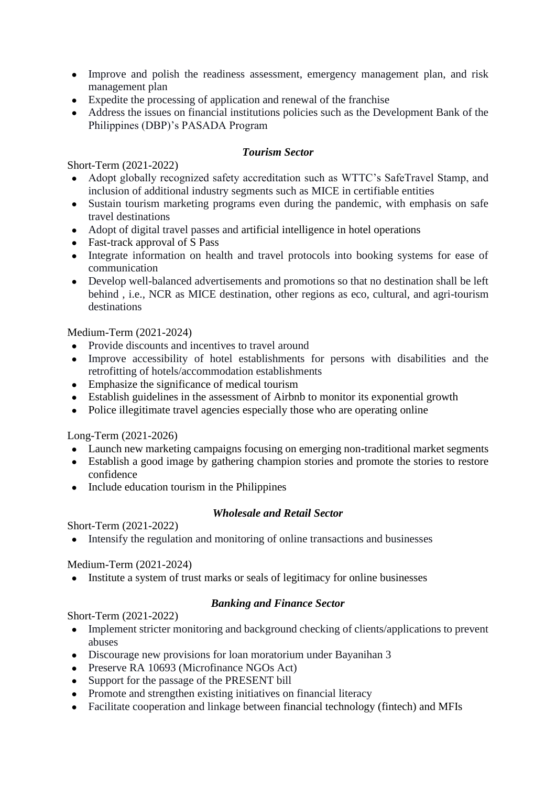- Improve and polish the readiness assessment, emergency management plan, and risk management plan
- Expedite the processing of application and renewal of the franchise
- Address the issues on financial institutions policies such as the Development Bank of the Philippines (DBP)'s PASADA Program

# *Tourism Sector*

Short-Term (2021-2022)

- Adopt globally recognized safety accreditation such as WTTC's SafeTravel Stamp, and inclusion of additional industry segments such as MICE in certifiable entities
- Sustain tourism marketing programs even during the pandemic, with emphasis on safe travel destinations
- Adopt of digital travel passes and artificial intelligence in hotel operations
- Fast-track approval of S Pass
- Integrate information on health and travel protocols into booking systems for ease of communication
- Develop well-balanced advertisements and promotions so that no destination shall be left behind , i.e., NCR as MICE destination, other regions as eco, cultural, and agri-tourism destinations

Medium-Term (2021-2024)

- Provide discounts and incentives to travel around
- Improve accessibility of hotel establishments for persons with disabilities and the retrofitting of hotels/accommodation establishments
- Emphasize the significance of medical tourism
- Establish guidelines in the assessment of Airbnb to monitor its exponential growth
- Police illegitimate travel agencies especially those who are operating online

Long-Term (2021-2026)

- Launch new marketing campaigns focusing on emerging non-traditional market segments
- Establish a good image by gathering champion stories and promote the stories to restore confidence
- Include education tourism in the Philippines

# *Wholesale and Retail Sector*

Short-Term (2021-2022)

• Intensify the regulation and monitoring of online transactions and businesses

Medium-Term (2021-2024)

• Institute a system of trust marks or seals of legitimacy for online businesses

# *Banking and Finance Sector*

- Implement stricter monitoring and background checking of clients/applications to prevent abuses
- Discourage new provisions for loan moratorium under Bayanihan 3
- Preserve RA 10693 (Microfinance NGOs Act)
- Support for the passage of the PRESENT bill
- Promote and strengthen existing initiatives on financial literacy
- Facilitate cooperation and linkage between financial technology (fintech) and MFIs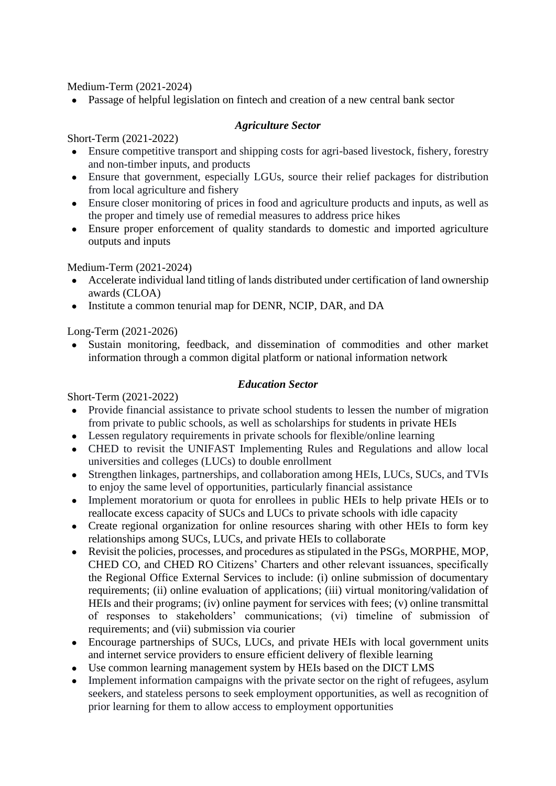• Passage of helpful legislation on fintech and creation of a new central bank sector

## *Agriculture Sector*

Short-Term (2021-2022)

- Ensure competitive transport and shipping costs for agri-based livestock, fishery, forestry and non-timber inputs, and products
- Ensure that government, especially LGUs, source their relief packages for distribution from local agriculture and fishery
- Ensure closer monitoring of prices in food and agriculture products and inputs, as well as the proper and timely use of remedial measures to address price hikes
- Ensure proper enforcement of quality standards to domestic and imported agriculture outputs and inputs

Medium-Term (2021-2024)

- Accelerate individual land titling of lands distributed under certification of land ownership awards (CLOA)
- Institute a common tenurial map for DENR, NCIP, DAR, and DA

Long-Term (2021-2026)

● Sustain monitoring, feedback, and dissemination of commodities and other market information through a common digital platform or national information network

#### *Education Sector*

- Provide financial assistance to private school students to lessen the number of migration from private to public schools, as well as scholarships for students in private HEIs
- Lessen regulatory requirements in private schools for flexible/online learning
- CHED to revisit the UNIFAST Implementing Rules and Regulations and allow local universities and colleges (LUCs) to double enrollment
- Strengthen linkages, partnerships, and collaboration among HEIs, LUCs, SUCs, and TVIs to enjoy the same level of opportunities, particularly financial assistance
- Implement moratorium or quota for enrollees in public HEIs to help private HEIs or to reallocate excess capacity of SUCs and LUCs to private schools with idle capacity
- Create regional organization for online resources sharing with other HEIs to form key relationships among SUCs, LUCs, and private HEIs to collaborate
- Revisit the policies, processes, and procedures as stipulated in the PSGs, MORPHE, MOP, CHED CO, and CHED RO Citizens' Charters and other relevant issuances, specifically the Regional Office External Services to include: (i) online submission of documentary requirements; (ii) online evaluation of applications; (iii) virtual monitoring/validation of HEIs and their programs; (iv) online payment for services with fees; (v) online transmittal of responses to stakeholders' communications; (vi) timeline of submission of requirements; and (vii) submission via courier
- Encourage partnerships of SUCs, LUCs, and private HEIs with local government units and internet service providers to ensure efficient delivery of flexible learning
- Use common learning management system by HEIs based on the DICT LMS
- Implement information campaigns with the private sector on the right of refugees, asylum seekers, and stateless persons to seek employment opportunities, as well as recognition of prior learning for them to allow access to employment opportunities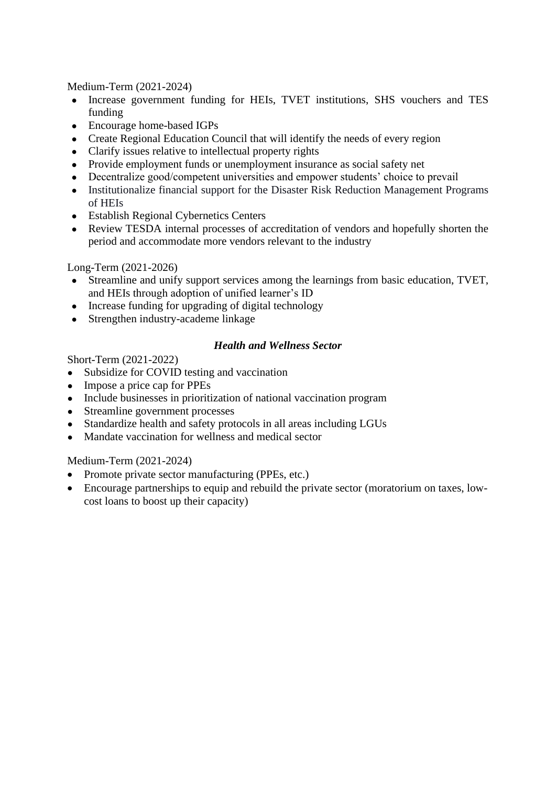- Increase government funding for HEIs, TVET institutions, SHS vouchers and TES funding
- Encourage home-based IGPs
- Create Regional Education Council that will identify the needs of every region
- Clarify issues relative to intellectual property rights
- Provide employment funds or unemployment insurance as social safety net
- Decentralize good/competent universities and empower students' choice to prevail
- Institutionalize financial support for the Disaster Risk Reduction Management Programs of HEIs
- Establish Regional Cybernetics Centers
- Review TESDA internal processes of accreditation of vendors and hopefully shorten the period and accommodate more vendors relevant to the industry

Long-Term (2021-2026)

- Streamline and unify support services among the learnings from basic education, TVET, and HEIs through adoption of unified learner's ID
- Increase funding for upgrading of digital technology
- Strengthen industry-academe linkage

#### *Health and Wellness Sector*

Short-Term (2021-2022)

- Subsidize for COVID testing and vaccination
- Impose a price cap for PPEs
- Include businesses in prioritization of national vaccination program
- Streamline government processes
- Standardize health and safety protocols in all areas including LGUs
- Mandate vaccination for wellness and medical sector

Medium-Term (2021-2024)

- Promote private sector manufacturing (PPEs, etc.)
- Encourage partnerships to equip and rebuild the private sector (moratorium on taxes, lowcost loans to boost up their capacity)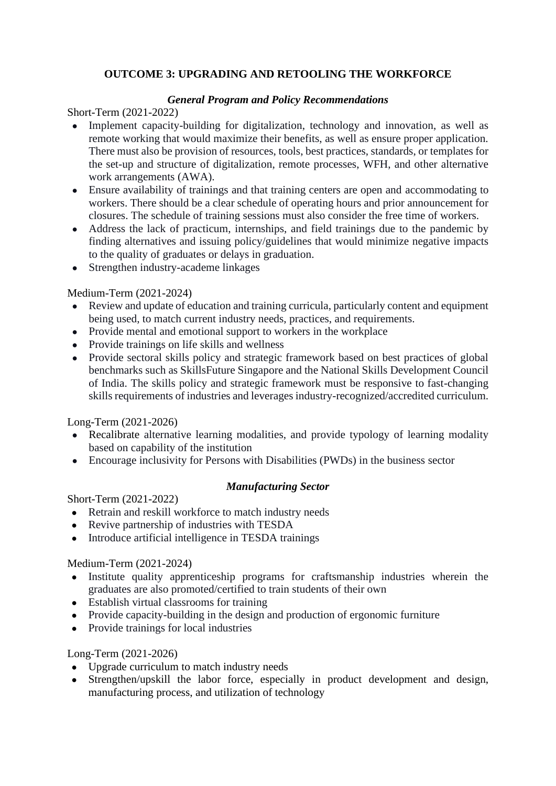# **OUTCOME 3: UPGRADING AND RETOOLING THE WORKFORCE**

## *General Program and Policy Recommendations*

Short-Term (2021-2022)

- Implement capacity-building for digitalization, technology and innovation, as well as remote working that would maximize their benefits, as well as ensure proper application. There must also be provision of resources, tools, best practices, standards, or templates for the set-up and structure of digitalization, remote processes, WFH, and other alternative work arrangements (AWA).
- Ensure availability of trainings and that training centers are open and accommodating to workers. There should be a clear schedule of operating hours and prior announcement for closures. The schedule of training sessions must also consider the free time of workers.
- Address the lack of practicum, internships, and field trainings due to the pandemic by finding alternatives and issuing policy/guidelines that would minimize negative impacts to the quality of graduates or delays in graduation.
- Strengthen industry-academe linkages

# Medium-Term (2021-2024)

- Review and update of education and training curricula, particularly content and equipment being used, to match current industry needs, practices, and requirements.
- Provide mental and emotional support to workers in the workplace
- Provide trainings on life skills and wellness
- Provide sectoral skills policy and strategic framework based on best practices of global benchmarks such as SkillsFuture Singapore and the National Skills Development Council of India. The skills policy and strategic framework must be responsive to fast-changing skills requirements of industries and leverages industry-recognized/accredited curriculum.

Long-Term (2021-2026)

- Recalibrate alternative learning modalities, and provide typology of learning modality based on capability of the institution
- Encourage inclusivity for Persons with Disabilities (PWDs) in the business sector

# *Manufacturing Sector*

Short-Term (2021-2022)

- Retrain and reskill workforce to match industry needs
- Revive partnership of industries with TESDA
- Introduce artificial intelligence in TESDA trainings

# Medium-Term (2021-2024)

- Institute quality apprenticeship programs for craftsmanship industries wherein the graduates are also promoted/certified to train students of their own
- Establish virtual classrooms for training
- Provide capacity-building in the design and production of ergonomic furniture
- Provide trainings for local industries

# Long-Term (2021-2026)

- Upgrade curriculum to match industry needs
- Strengthen/upskill the labor force, especially in product development and design, manufacturing process, and utilization of technology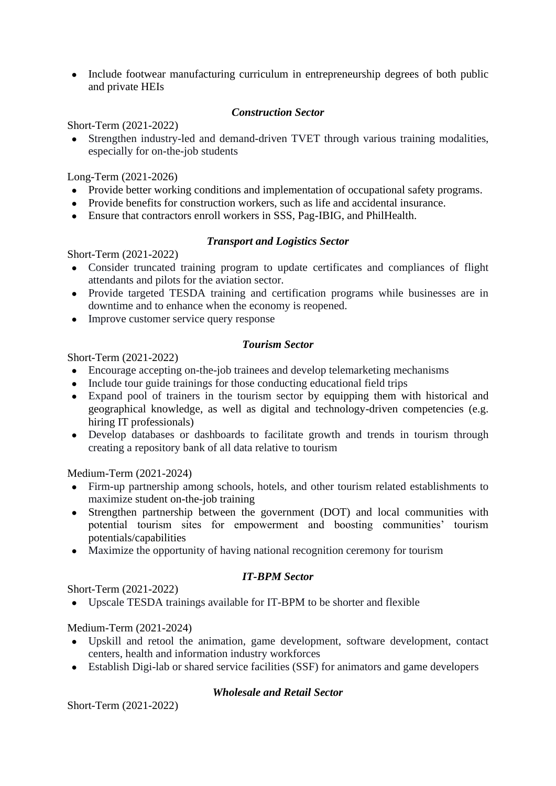• Include footwear manufacturing curriculum in entrepreneurship degrees of both public and private HEIs

#### *Construction Sector*

Short-Term (2021-2022)

• Strengthen industry-led and demand-driven TVET through various training modalities, especially for on-the-job students

Long-Term (2021-2026)

- Provide better working conditions and implementation of occupational safety programs.
- Provide benefits for construction workers, such as life and accidental insurance.
- Ensure that contractors enroll workers in SSS, Pag-IBIG, and PhilHealth.

#### *Transport and Logistics Sector*

Short-Term (2021-2022)

- Consider truncated training program to update certificates and compliances of flight attendants and pilots for the aviation sector.
- Provide targeted TESDA training and certification programs while businesses are in downtime and to enhance when the economy is reopened.
- Improve customer service query response

#### *Tourism Sector*

Short-Term (2021-2022)

- Encourage accepting on-the-job trainees and develop telemarketing mechanisms
- Include tour guide trainings for those conducting educational field trips
- Expand pool of trainers in the tourism sector by equipping them with historical and geographical knowledge, as well as digital and technology-driven competencies (e.g. hiring IT professionals)
- Develop databases or dashboards to facilitate growth and trends in tourism through creating a repository bank of all data relative to tourism

Medium-Term (2021-2024)

- Firm-up partnership among schools, hotels, and other tourism related establishments to maximize student on-the-job training
- Strengthen partnership between the government (DOT) and local communities with potential tourism sites for empowerment and boosting communities' tourism potentials/capabilities
- Maximize the opportunity of having national recognition ceremony for tourism

# *IT-BPM Sector*

Short-Term (2021-2022)

● Upscale TESDA trainings available for IT-BPM to be shorter and flexible

Medium-Term (2021-2024)

- Upskill and retool the animation, game development, software development, contact centers, health and information industry workforces
- Establish Digi-lab or shared service facilities (SSF) for animators and game developers

#### *Wholesale and Retail Sector*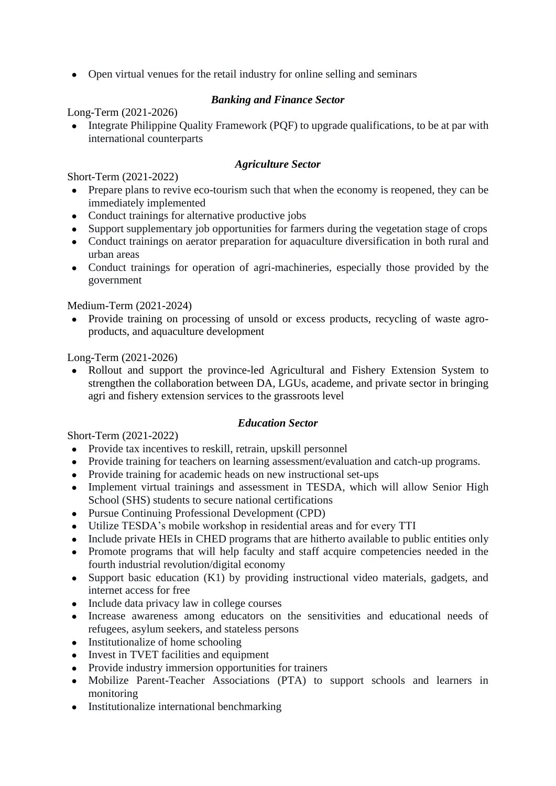• Open virtual venues for the retail industry for online selling and seminars

# *Banking and Finance Sector*

Long-Term (2021-2026)

• Integrate Philippine Quality Framework (PQF) to upgrade qualifications, to be at par with international counterparts

## *Agriculture Sector*

Short-Term (2021-2022)

- Prepare plans to revive eco-tourism such that when the economy is reopened, they can be immediately implemented
- Conduct trainings for alternative productive jobs
- Support supplementary job opportunities for farmers during the vegetation stage of crops
- Conduct trainings on aerator preparation for aquaculture diversification in both rural and urban areas
- Conduct trainings for operation of agri-machineries, especially those provided by the government

Medium-Term (2021-2024)

• Provide training on processing of unsold or excess products, recycling of waste agroproducts, and aquaculture development

Long-Term (2021-2026)

• Rollout and support the province-led Agricultural and Fishery Extension System to strengthen the collaboration between DA, LGUs, academe, and private sector in bringing agri and fishery extension services to the grassroots level

#### *Education Sector*

- Provide tax incentives to reskill, retrain, upskill personnel
- Provide training for teachers on learning assessment/evaluation and catch-up programs.
- Provide training for academic heads on new instructional set-ups
- Implement virtual trainings and assessment in TESDA, which will allow Senior High School (SHS) students to secure national certifications
- Pursue Continuing Professional Development (CPD)
- Utilize TESDA's mobile workshop in residential areas and for every TTI
- Include private HEIs in CHED programs that are hitherto available to public entities only
- Promote programs that will help faculty and staff acquire competencies needed in the fourth industrial revolution/digital economy
- Support basic education  $(K1)$  by providing instructional video materials, gadgets, and internet access for free
- Include data privacy law in college courses
- Increase awareness among educators on the sensitivities and educational needs of refugees, asylum seekers, and stateless persons
- Institutionalize of home schooling
- Invest in TVET facilities and equipment
- Provide industry immersion opportunities for trainers
- Mobilize Parent-Teacher Associations (PTA) to support schools and learners in monitoring
- Institutionalize international benchmarking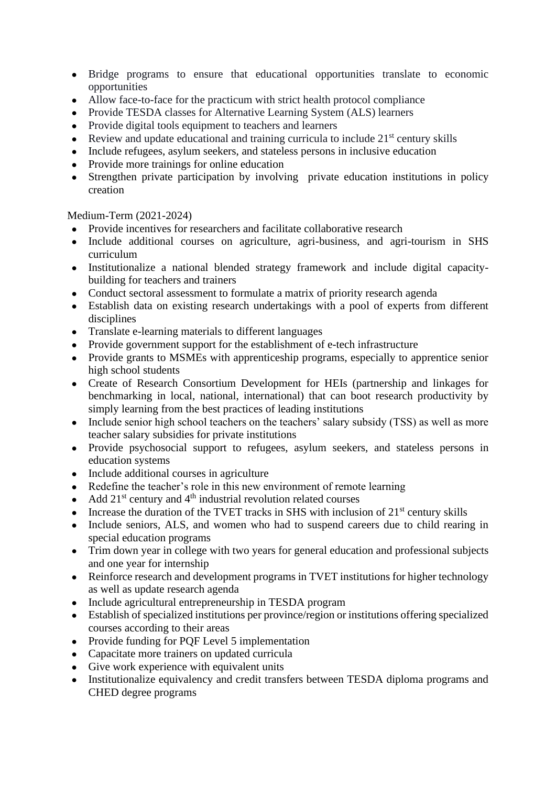- Bridge programs to ensure that educational opportunities translate to economic opportunities
- Allow face-to-face for the practicum with strict health protocol compliance
- Provide TESDA classes for Alternative Learning System (ALS) learners
- Provide digital tools equipment to teachers and learners
- Review and update educational and training curricula to include  $21<sup>st</sup>$  century skills
- Include refugees, asylum seekers, and stateless persons in inclusive education
- Provide more trainings for online education
- Strengthen private participation by involving private education institutions in policy creation

- Provide incentives for researchers and facilitate collaborative research
- Include additional courses on agriculture, agri-business, and agri-tourism in SHS curriculum
- Institutionalize a national blended strategy framework and include digital capacitybuilding for teachers and trainers
- Conduct sectoral assessment to formulate a matrix of priority research agenda
- Establish data on existing research undertakings with a pool of experts from different disciplines
- Translate e-learning materials to different languages
- Provide government support for the establishment of e-tech infrastructure
- Provide grants to MSMEs with apprenticeship programs, especially to apprentice senior high school students
- Create of Research Consortium Development for HEIs (partnership and linkages for benchmarking in local, national, international) that can boot research productivity by simply learning from the best practices of leading institutions
- Include senior high school teachers on the teachers' salary subsidy (TSS) as well as more teacher salary subsidies for private institutions
- Provide psychosocial support to refugees, asylum seekers, and stateless persons in education systems
- Include additional courses in agriculture
- Redefine the teacher's role in this new environment of remote learning
- Add  $21<sup>st</sup>$  century and  $4<sup>th</sup>$  industrial revolution related courses
- Increase the duration of the TVET tracks in SHS with inclusion of  $21<sup>st</sup>$  century skills
- Include seniors, ALS, and women who had to suspend careers due to child rearing in special education programs
- Trim down year in college with two years for general education and professional subjects and one year for internship
- Reinforce research and development programs in TVET institutions for higher technology as well as update research agenda
- Include agricultural entrepreneurship in TESDA program
- Establish of specialized institutions per province/region or institutions offering specialized courses according to their areas
- Provide funding for PQF Level 5 implementation
- Capacitate more trainers on updated curricula
- Give work experience with equivalent units
- Institutionalize equivalency and credit transfers between TESDA diploma programs and CHED degree programs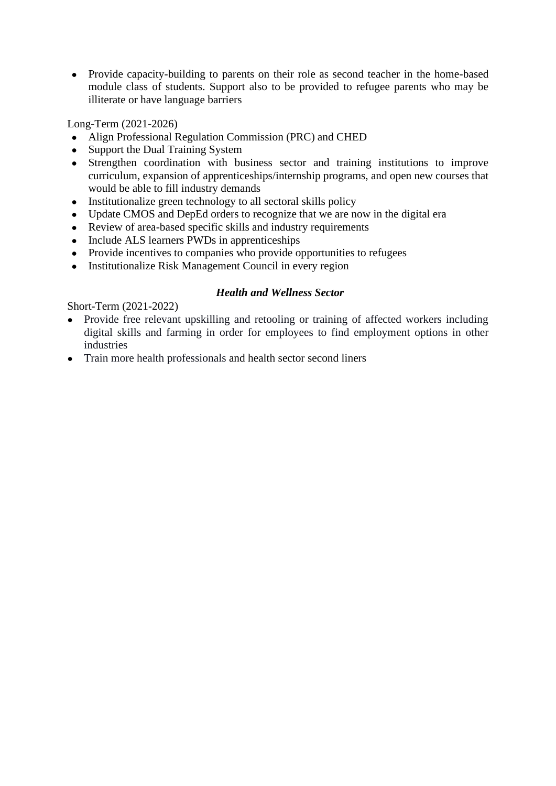• Provide capacity-building to parents on their role as second teacher in the home-based module class of students. Support also to be provided to refugee parents who may be illiterate or have language barriers

Long-Term (2021-2026)

- Align Professional Regulation Commission (PRC) and CHED
- Support the Dual Training System
- Strengthen coordination with business sector and training institutions to improve curriculum, expansion of apprenticeships/internship programs, and open new courses that would be able to fill industry demands
- Institutionalize green technology to all sectoral skills policy
- Update CMOS and DepEd orders to recognize that we are now in the digital era
- Review of area-based specific skills and industry requirements
- Include ALS learners PWDs in apprenticeships
- Provide incentives to companies who provide opportunities to refugees
- Institutionalize Risk Management Council in every region

#### *Health and Wellness Sector*

- Provide free relevant upskilling and retooling or training of affected workers including digital skills and farming in order for employees to find employment options in other industries
- Train more health professionals and health sector second liners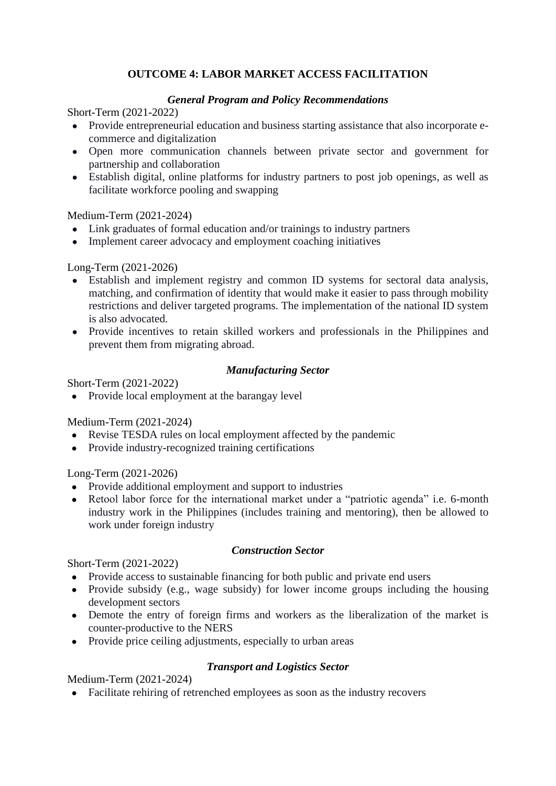# **OUTCOME 4: LABOR MARKET ACCESS FACILITATION**

## *General Program and Policy Recommendations*

Short-Term (2021-2022)

- Provide entrepreneurial education and business starting assistance that also incorporate ecommerce and digitalization
- Open more communication channels between private sector and government for partnership and collaboration
- Establish digital, online platforms for industry partners to post job openings, as well as facilitate workforce pooling and swapping

#### Medium-Term (2021-2024)

- Link graduates of formal education and/or trainings to industry partners
- Implement career advocacy and employment coaching initiatives

Long-Term (2021-2026)

- Establish and implement registry and common ID systems for sectoral data analysis, matching, and confirmation of identity that would make it easier to pass through mobility restrictions and deliver targeted programs. The implementation of the national ID system is also advocated.
- Provide incentives to retain skilled workers and professionals in the Philippines and prevent them from migrating abroad.

#### *Manufacturing Sector*

Short-Term (2021-2022)

• Provide local employment at the barangay level

Medium-Term (2021-2024)

- Revise TESDA rules on local employment affected by the pandemic
- Provide industry-recognized training certifications

Long-Term (2021-2026)

- Provide additional employment and support to industries
- Retool labor force for the international market under a "patriotic agenda" i.e. 6-month industry work in the Philippines (includes training and mentoring), then be allowed to work under foreign industry

#### *Construction Sector*

Short-Term (2021-2022)

- Provide access to sustainable financing for both public and private end users
- Provide subsidy (e.g., wage subsidy) for lower income groups including the housing development sectors
- Demote the entry of foreign firms and workers as the liberalization of the market is counter-productive to the NERS
- Provide price ceiling adjustments, especially to urban areas

# *Transport and Logistics Sector*

Medium-Term (2021-2024)

● Facilitate rehiring of retrenched employees as soon as the industry recovers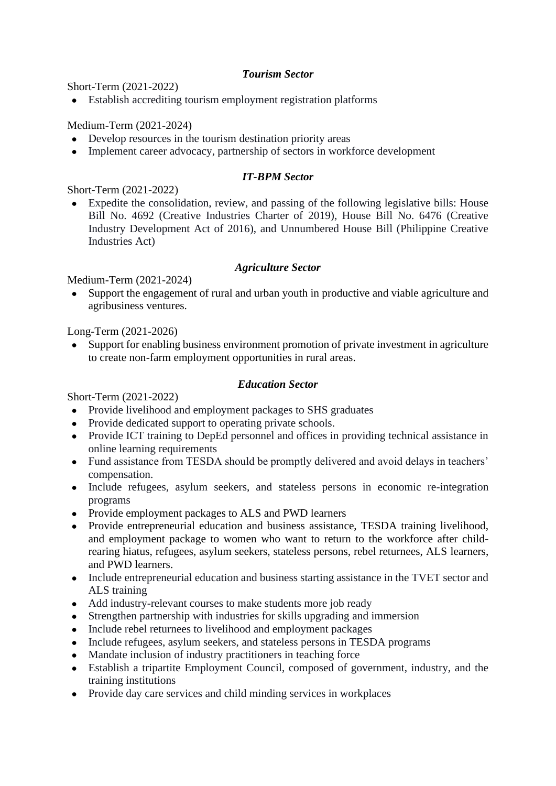## *Tourism Sector*

Short-Term (2021-2022)

• Establish accrediting tourism employment registration platforms

Medium-Term (2021-2024)

- Develop resources in the tourism destination priority areas
- Implement career advocacy, partnership of sectors in workforce development

# *IT-BPM Sector*

Short-Term (2021-2022)

● Expedite the consolidation, review, and passing of the following legislative bills: House Bill No. 4692 (Creative Industries Charter of 2019), House Bill No. 6476 (Creative Industry Development Act of 2016), and Unnumbered House Bill (Philippine Creative Industries Act)

#### *Agriculture Sector*

Medium-Term (2021-2024)

• Support the engagement of rural and urban youth in productive and viable agriculture and agribusiness ventures.

Long-Term (2021-2026)

• Support for enabling business environment promotion of private investment in agriculture to create non-farm employment opportunities in rural areas.

#### *Education Sector*

- Provide livelihood and employment packages to SHS graduates
- Provide dedicated support to operating private schools.
- Provide ICT training to DepEd personnel and offices in providing technical assistance in online learning requirements
- Fund assistance from TESDA should be promptly delivered and avoid delays in teachers' compensation.
- Include refugees, asylum seekers, and stateless persons in economic re-integration programs
- Provide employment packages to ALS and PWD learners
- Provide entrepreneurial education and business assistance, TESDA training livelihood, and employment package to women who want to return to the workforce after childrearing hiatus, refugees, asylum seekers, stateless persons, rebel returnees, ALS learners, and PWD learners.
- Include entrepreneurial education and business starting assistance in the TVET sector and ALS training
- Add industry-relevant courses to make students more job ready
- Strengthen partnership with industries for skills upgrading and immersion
- Include rebel returnees to livelihood and employment packages
- Include refugees, asylum seekers, and stateless persons in TESDA programs
- Mandate inclusion of industry practitioners in teaching force
- Establish a tripartite Employment Council, composed of government, industry, and the training institutions
- Provide day care services and child minding services in workplaces